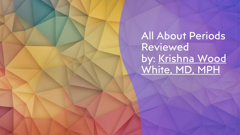All About Periods Reviewed by: Krishna Wood [White, MD, MPH](https://www.nemours.org/services/pediatric-adolescent-medicine.html)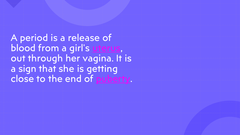A period is a release of blood from a girl's [uterus,](https://kidshealth.org/en/teens/female-repro.html) out through her vagina. It is a sign that she is getting close to the end of [puberty.](https://kidshealth.org/en/teens/puberty.html)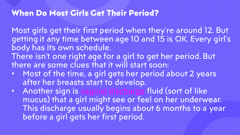## **When Do Most Girls Get Their Period?**

Most girls get their first period when they're around 12. But getting it any time between age 10 and 15 is OK. Every girl's body has its own schedule.

There isn't one right age for a girl to get her period. But there are some clues that it will start soon:

- Most of the time, a girl gets her period about 2 years after her breasts start to develop.
- Another sign is [vaginal discharge](https://kidshealth.org/en/teens/vdischarge2.html) fluid (sort of like mucus) that a girl might see or feel on her underwear. This discharge usually begins about 6 months to a year before a girl gets her first period.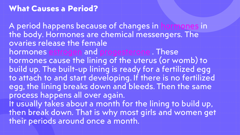### **What Causes a Period?**

A period happens because of changes in [hormones](https://kidshealth.org/en/teens/menstruation.html) in the body. Hormones are chemical messengers. The ovaries release the female hormones [estrogen](https://kidshealth.org/en/teens/menstruation.html) and [progesterone](https://kidshealth.org/en/teens/menstruation.html) . These hormones cause the lining of the uterus (or womb) to build up. The built-up lining is ready for a fertilized egg to attach to and start developing. If there is no fertilized egg, the lining breaks down and bleeds. Then the same process happens all over again. It usually takes about a month for the lining to build up, then break down. That is why most girls and women get their periods around once a month.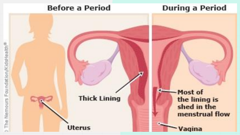

### Most of the lining is shed in the menstrual flow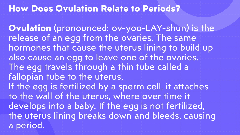## **How Does Ovulation Relate to Periods?**

**Ovulation** (pronounced: ov-yoo-LAY-shun) is the release of an egg from the ovaries. The same hormones that cause the uterus lining to build up also cause an egg to leave one of the ovaries. The egg travels through a thin tube called a fallopian tube to the uterus. If the egg is fertilized by a sperm cell, it attaches to the wall of the uterus, where over time it develops into a baby. If the egg is not fertilized, the uterus lining breaks down and bleeds, causing a period.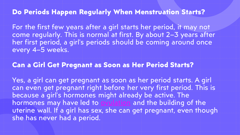### **Do Periods Happen Regularly When Menstruation Starts?**

For the first few years after a girl starts her period, it may not come regularly. This is normal at first. By about 2–3 years after her first period, a girl's periods should be coming around once every 4–5 weeks.

#### **Can a Girl Get Pregnant as Soon as Her Period Starts?**

Yes, a girl can get pregnant as soon as her period starts. A girl can even get pregnant right before her very first period. This is because a girl's hormones might already be active. The hormones may have led to **[ovulation](https://kidshealth.org/en/teens/menstruation.html)** and the building of the uterine wall. If a girl has sex, she can get pregnant, even though she has never had a period.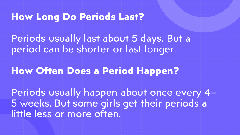## **How Long Do Periods Last?**

Periods usually last about 5 days. But a period can be shorter or last longer.

# **How Often Does a Period Happen?**

Periods usually happen about once every 4– 5 weeks. But some girls get their periods a little less or more often.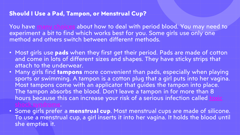#### **Should I Use a Pad, Tampon, or Menstrual Cup?**

You have [many choices](https://kidshealth.org/en/teens/supplies.html) about how to deal with period blood. You may need to experiment a bit to find which works best for you. Some girls use only one method and others switch between different methods.

- Most girls use **pads** when they first get their period. Pads are made of cotton and come in lots of different sizes and shapes. They have sticky strips that attach to the underwear.
- Many girls find **tampons** more convenient than pads, especially when playing sports or swimming. A tampon is a cotton plug that a girl puts into her vagina. Most tampons come with an applicator that guides the tampon into place. The tampon absorbs the blood. Don't leave a tampon in for more than 8 [hours because this can increase your risk of a serious infection called](https://kidshealth.org/en/teens/tss.html)
- Some girls prefer a **menstrual cup**. Most menstrual cups are made of silicone. To use a menstrual cup, a girl inserts it into her vagina. It holds the blood until she empties it.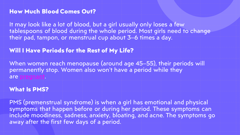#### **How Much Blood Comes Out?**

It may look like a lot of blood, but a girl usually only loses a few tablespoons of blood during the whole period. Most girls need to change their pad, tampon, or menstrual cup about 3-6 times a day.

#### **Will I Have Periods for the Rest of My Life?**

When women reach menopause (around age 45–55), their periods will permanently stop. Women also won't have a period while they are [pregnant.](https://kidshealth.org/en/teens/pregnancy.html)

#### **What Is PMS?**

PMS (premenstrual syndrome) is when a girl has emotional and physical symptoms that happen before or during her period. These symptoms can include moodiness, sadness, anxiety, bloating, and acne. The symptoms go away after the first few days of a period.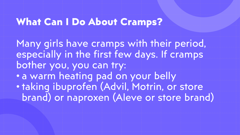# **What Can I Do About Cramps?**

Many girls have cramps with their period, especially in the first few days. If cramps bother you, you can try: • a warm heating pad on your belly • taking ibuprofen (Advil, Motrin, or store brand) or naproxen (Aleve or store brand)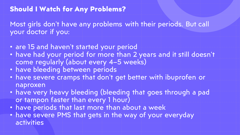### **Should I Watch for Any Problems?**

Most girls don't have any problems with their periods. But call your doctor if you:

- are 15 and haven't started your period
- have had your period for more than 2 years and it still doesn't come regularly (about every 4–5 weeks)
- have bleeding between periods
- have severe cramps that don't get better with ibuprofen or naproxen
- have very heavy bleeding (bleeding that goes through a pad or tampon faster than every 1 hour)
- have periods that last more than about a week
- have severe PMS that gets in the way of your everyday activities